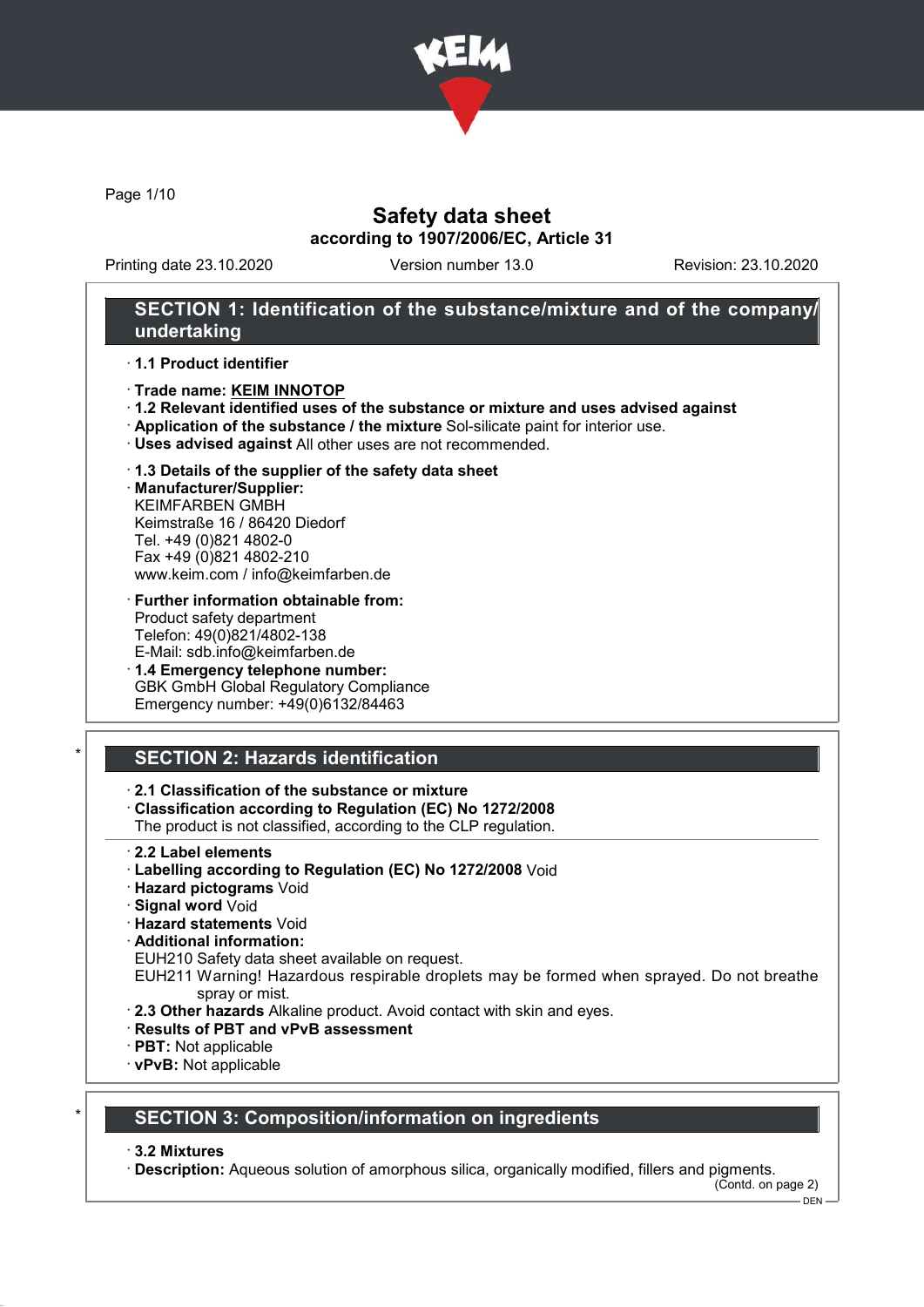

Page 1/10

## Safety data sheet according to 1907/2006/EC, Article 31

Printing date 23.10.2020 Version number 13.0 Revision: 23.10.2020

## SECTION 1: Identification of the substance/mixture and of the company/ undertaking

#### · 1.1 Product identifier

- · Trade name: KEIM INNOTOP
- · 1.2 Relevant identified uses of the substance or mixture and uses advised against
- · Application of the substance / the mixture Sol-silicate paint for interior use.
- · Uses advised against All other uses are not recommended.

### · 1.3 Details of the supplier of the safety data sheet

· Manufacturer/Supplier: KEIMFARBEN GMBH Keimstraße 16 / 86420 Diedorf Tel. +49 (0)821 4802-0 Fax +49 (0)821 4802-210 www.keim.com / info@keimfarben.de

- · Further information obtainable from: Product safety department Telefon: 49(0)821/4802-138 E-Mail: sdb.info@keimfarben.de
- · 1.4 Emergency telephone number: GBK GmbH Global Regulatory Compliance Emergency number: +49(0)6132/84463

# **SECTION 2: Hazards identification**

### · 2.1 Classification of the substance or mixture

· Classification according to Regulation (EC) No 1272/2008

The product is not classified, according to the CLP regulation.

- · 2.2 Label elements
- · Labelling according to Regulation (EC) No 1272/2008 Void
- · Hazard pictograms Void
- · Signal word Void
- · Hazard statements Void
- · Additional information:

EUH210 Safety data sheet available on request.

EUH211 Warning! Hazardous respirable droplets may be formed when sprayed. Do not breathe spray or mist.

- · 2.3 Other hazards Alkaline product. Avoid contact with skin and eyes.
- · Results of PBT and vPvB assessment
- · PBT: Not applicable
- · vPvB: Not applicable

## **SECTION 3: Composition/information on ingredients**

#### · 3.2 Mixtures

· Description: Aqueous solution of amorphous silica, organically modified, fillers and pigments.

(Contd. on page 2)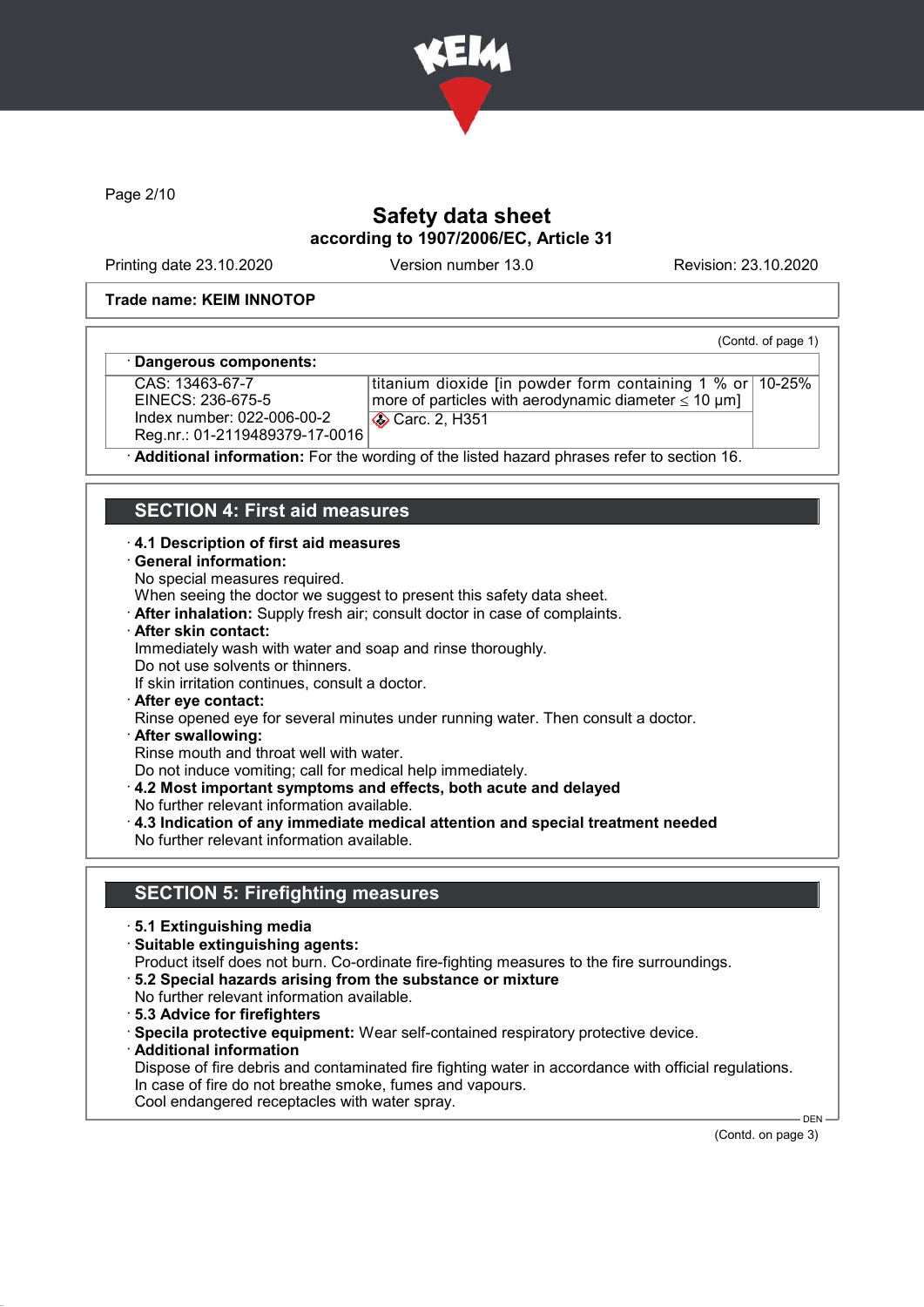

Page 2/10

# Safety data sheet according to 1907/2006/EC, Article 31

Printing date 23.10.2020 Version number 13.0 Revision: 23.10.2020

(Contd. of page 1)

#### Trade name: KEIM INNOTOP

### Dangerous components:

CAS: 13463-67-7 EINECS: 236-675-5 Index number: 022-006-00-2 Reg.nr.: 01-2119489379-17-0016 titanium dioxide [in powder form containing 1 % or 10-25% more of particles with aerodynamic diameter  $\leq 10 \text{ }\mu\text{m}$ ] **Carc. 2, H351** 

· Additional information: For the wording of the listed hazard phrases refer to section 16.

# SECTION 4: First aid measures

### · 4.1 Description of first aid measures · General information: No special measures required. When seeing the doctor we suggest to present this safety data sheet. · After inhalation: Supply fresh air; consult doctor in case of complaints. · After skin contact: Immediately wash with water and soap and rinse thoroughly. Do not use solvents or thinners. If skin irritation continues, consult a doctor. · After eye contact: Rinse opened eye for several minutes under running water. Then consult a doctor. · After swallowing: Rinse mouth and throat well with water. Do not induce vomiting; call for medical help immediately. · 4.2 Most important symptoms and effects, both acute and delayed No further relevant information available. · 4.3 Indication of any immediate medical attention and special treatment needed No further relevant information available.

# SECTION 5: Firefighting measures

- · 5.1 Extinguishing media
- · Suitable extinguishing agents:

Product itself does not burn. Co-ordinate fire-fighting measures to the fire surroundings.

- · 5.2 Special hazards arising from the substance or mixture
- No further relevant information available.
- · 5.3 Advice for firefighters
- · Specila protective equipment: Wear self-contained respiratory protective device.

· Additional information

Dispose of fire debris and contaminated fire fighting water in accordance with official regulations. In case of fire do not breathe smoke, fumes and vapours. Cool endangered receptacles with water spray.

(Contd. on page 3)

 $-$  DEN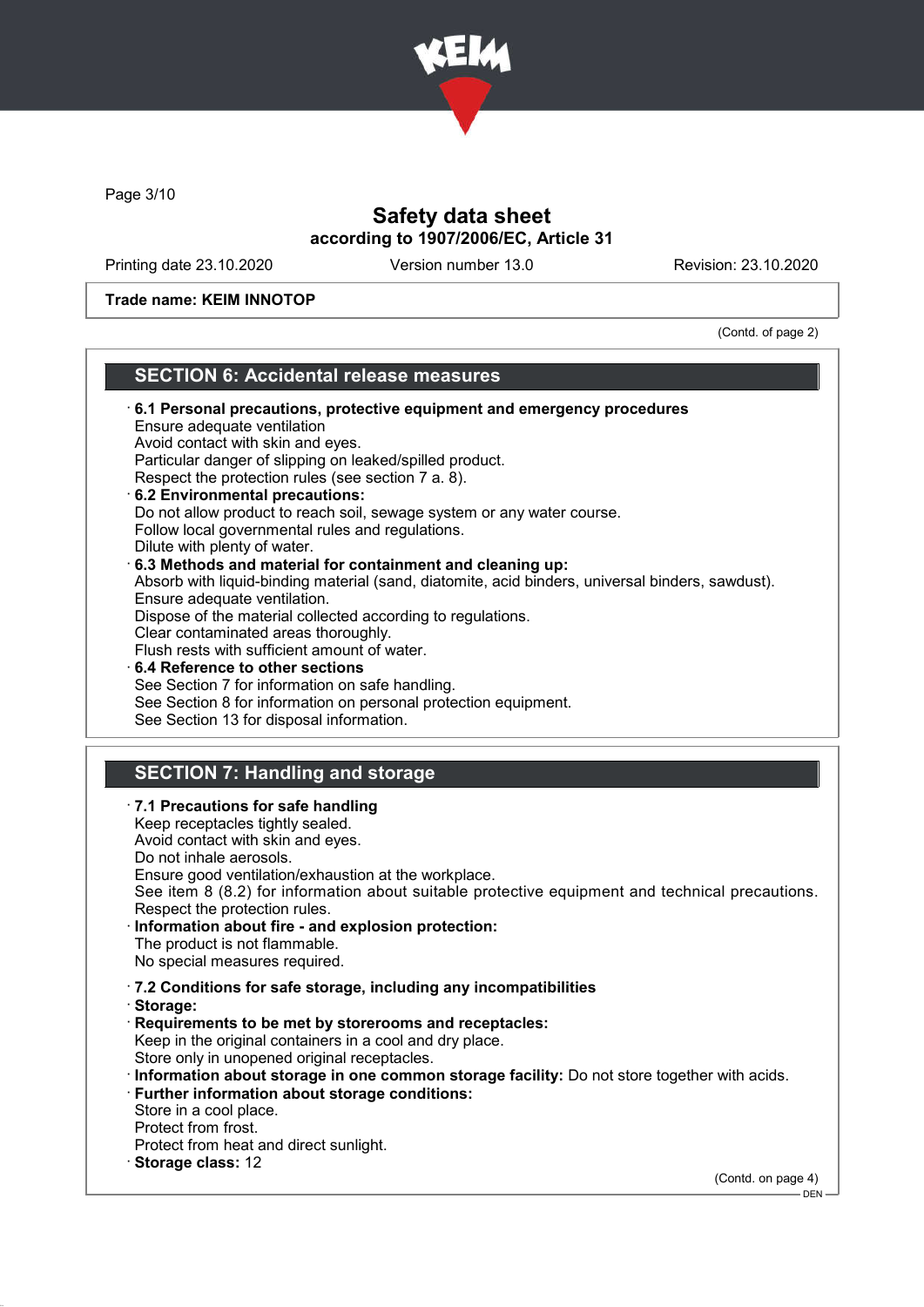

Page 3/10

# Safety data sheet according to 1907/2006/EC, Article 31

Printing date 23.10.2020 Version number 13.0 Revision: 23.10.2020

### Trade name: KEIM INNOTOP

(Contd. of page 2)

# SECTION 6: Accidental release measures

| $\cdot$ 6.1 Personal precautions, protective equipment and emergency procedures<br>Ensure adequate ventilation<br>Avoid contact with skin and eyes.<br>Particular danger of slipping on leaked/spilled product.<br>Respect the protection rules (see section 7 a. 8).<br>6.2 Environmental precautions:<br>Do not allow product to reach soil, sewage system or any water course.<br>Follow local governmental rules and regulations.<br>Dilute with plenty of water.<br>6.3 Methods and material for containment and cleaning up:<br>Absorb with liquid-binding material (sand, diatomite, acid binders, universal binders, sawdust).<br>Ensure adequate ventilation.<br>Dispose of the material collected according to regulations.<br>Clear contaminated areas thoroughly.<br>Flush rests with sufficient amount of water.<br>6.4 Reference to other sections<br>See Section 7 for information on safe handling.<br>See Section 8 for information on personal protection equipment.<br>See Section 13 for disposal information. |
|------------------------------------------------------------------------------------------------------------------------------------------------------------------------------------------------------------------------------------------------------------------------------------------------------------------------------------------------------------------------------------------------------------------------------------------------------------------------------------------------------------------------------------------------------------------------------------------------------------------------------------------------------------------------------------------------------------------------------------------------------------------------------------------------------------------------------------------------------------------------------------------------------------------------------------------------------------------------------------------------------------------------------------|
|                                                                                                                                                                                                                                                                                                                                                                                                                                                                                                                                                                                                                                                                                                                                                                                                                                                                                                                                                                                                                                    |
| <b>SECTION 7: Handling and storage</b>                                                                                                                                                                                                                                                                                                                                                                                                                                                                                                                                                                                                                                                                                                                                                                                                                                                                                                                                                                                             |
| · 7.1 Precautions for safe handling<br>Keep receptacles tightly sealed.<br>Avoid contact with skin and eyes.<br>Do not inhale aerosols.<br>Ensure good ventilation/exhaustion at the workplace.<br>See item 8 (8.2) for information about suitable protective equipment and technical precautions.<br>Respect the protection rules.<br>Information about fire - and explosion protection:<br>The product is not flammable.<br>No special measures required.                                                                                                                                                                                                                                                                                                                                                                                                                                                                                                                                                                        |
| .7.2 Conditions for safe storage, including any incompatibilities<br>· Storage:                                                                                                                                                                                                                                                                                                                                                                                                                                                                                                                                                                                                                                                                                                                                                                                                                                                                                                                                                    |
| Requirements to be met by storerooms and receptacles:<br>Keep in the original containers in a cool and dry place.<br>Store only in unopened original receptacles.<br>Information about storage in one common storage facility: Do not store together with acids.<br>Further information about storage conditions:<br>Store in a cool place.<br>Protect from frost.<br>Protect from heat and direct sunlight.<br>· Storage class: 12                                                                                                                                                                                                                                                                                                                                                                                                                                                                                                                                                                                                |
| (Contd. on page 4)                                                                                                                                                                                                                                                                                                                                                                                                                                                                                                                                                                                                                                                                                                                                                                                                                                                                                                                                                                                                                 |
| <b>DEN</b>                                                                                                                                                                                                                                                                                                                                                                                                                                                                                                                                                                                                                                                                                                                                                                                                                                                                                                                                                                                                                         |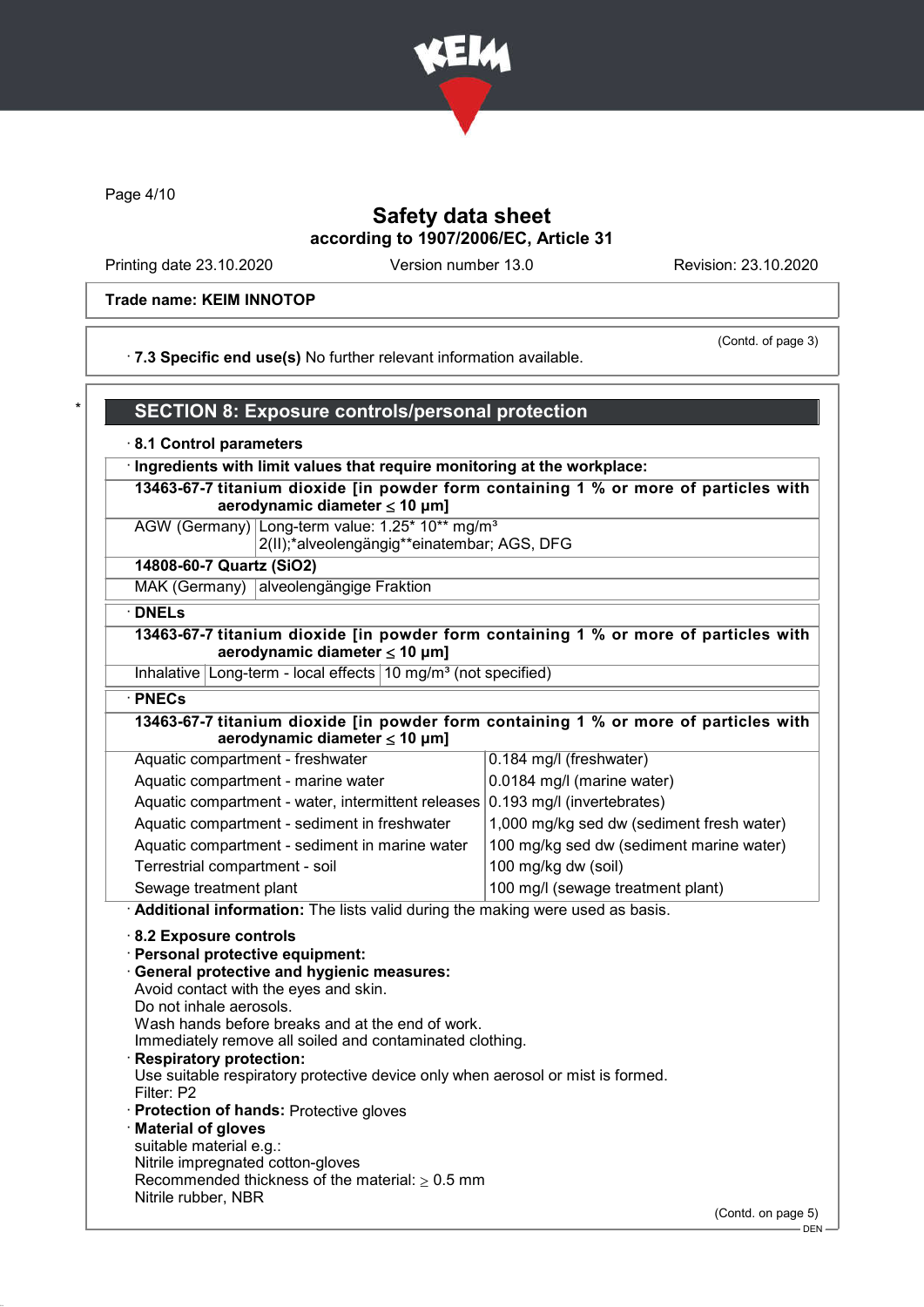

Page 4/10

## Safety data sheet according to 1907/2006/EC, Article 31

Printing date 23.10.2020 Version number 13.0 Revision: 23.10.2020

### Trade name: KEIM INNOTOP

(Contd. of page 3)

· 7.3 Specific end use(s) No further relevant information available.

|  | <b>SECTION 8: Exposure controls/personal protection</b> |
|--|---------------------------------------------------------|
|--|---------------------------------------------------------|

#### · 8.1 Control parameters

· Ingredients with limit values that require monitoring at the workplace:

13463-67-7 titanium dioxide [in powder form containing 1 % or more of particles with aerodynamic diameter  $\leq 10 \mu m$ ]

AGW (Germany) Long-term value: 1.25\* 10\*\* mg/m<sup>3</sup> 2(II);\*alveolengängig\*\*einatembar; AGS, DFG

14808-60-7 Quartz (SiO2)

MAK (Germany) alveolengängige Fraktion

· DNELs

13463-67-7 titanium dioxide [in powder form containing 1 % or more of particles with aerodynamic diameter ≤ 10 μm]

Inhalative Long-term - local effects  $10 \text{ mg/m}^3$  (not specified)

#### · PNECs

13463-67-7 titanium dioxide [in powder form containing 1 % or more of particles with aerodynamic diameter  $\leq 10 \mu m$ ]

| Aquatic compartment - freshwater                                              | 0.184 mg/l (freshwater)                   |
|-------------------------------------------------------------------------------|-------------------------------------------|
| Aquatic compartment - marine water                                            | 0.0184 mg/l (marine water)                |
| Aquatic compartment - water, intermittent releases 0.193 mg/l (invertebrates) |                                           |
| Aquatic compartment - sediment in freshwater                                  | 1,000 mg/kg sed dw (sediment fresh water) |
| Aquatic compartment - sediment in marine water                                | 100 mg/kg sed dw (sediment marine water)  |
| Terrestrial compartment - soil                                                | 100 mg/kg dw (soil)                       |
| Sewage treatment plant                                                        | 100 mg/l (sewage treatment plant)         |

· Additional information: The lists valid during the making were used as basis.

#### · 8.2 Exposure controls

- · Personal protective equipment:
- · General protective and hygienic measures: Avoid contact with the eyes and skin.
- Do not inhale aerosols.
- Wash hands before breaks and at the end of work.

Immediately remove all soiled and contaminated clothing.

Respiratory protection:

Use suitable respiratory protective device only when aerosol or mist is formed. Filter: P2

- · Protection of hands: Protective gloves
- · Material of gloves
- suitable material e.g.:
- Nitrile impregnated cotton-gloves
- Recommended thickness of the material:  $\geq 0.5$  mm
- Nitrile rubber, NBR

(Contd. on page 5)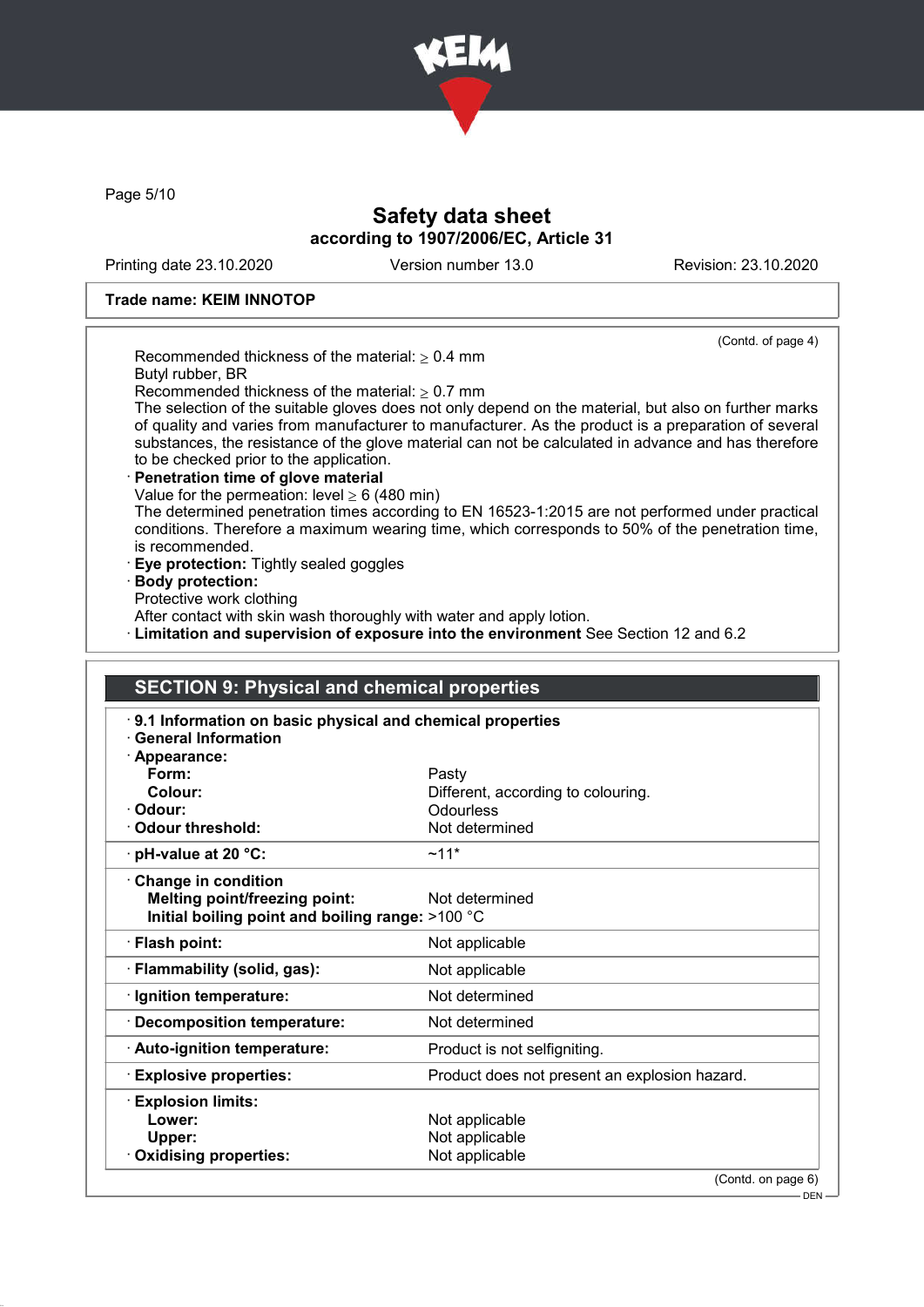

Page 5/10

# Safety data sheet according to 1907/2006/EC, Article 31

Printing date 23.10.2020 Version number 13.0 Revision: 23.10.2020

### Trade name: KEIM INNOTOP

|                                                                                                                                                                | (Contd. of page 4)                                                                                                                                                                                                                                                                                                 |  |
|----------------------------------------------------------------------------------------------------------------------------------------------------------------|--------------------------------------------------------------------------------------------------------------------------------------------------------------------------------------------------------------------------------------------------------------------------------------------------------------------|--|
| Recommended thickness of the material: $\geq 0.4$ mm<br>Butyl rubber, BR                                                                                       |                                                                                                                                                                                                                                                                                                                    |  |
| Recommended thickness of the material: $\geq 0.7$ mm                                                                                                           |                                                                                                                                                                                                                                                                                                                    |  |
| to be checked prior to the application.<br>Penetration time of glove material                                                                                  | The selection of the suitable gloves does not only depend on the material, but also on further marks<br>of quality and varies from manufacturer to manufacturer. As the product is a preparation of several<br>substances, the resistance of the glove material can not be calculated in advance and has therefore |  |
| Value for the permeation: level $\geq 6$ (480 min)<br>is recommended.                                                                                          | The determined penetration times according to EN 16523-1:2015 are not performed under practical<br>conditions. Therefore a maximum wearing time, which corresponds to 50% of the penetration time,                                                                                                                 |  |
| · Eye protection: Tightly sealed goggles                                                                                                                       |                                                                                                                                                                                                                                                                                                                    |  |
| · Body protection:                                                                                                                                             |                                                                                                                                                                                                                                                                                                                    |  |
| Protective work clothing<br>After contact with skin wash thoroughly with water and apply lotion.                                                               |                                                                                                                                                                                                                                                                                                                    |  |
|                                                                                                                                                                | · Limitation and supervision of exposure into the environment See Section 12 and 6.2                                                                                                                                                                                                                               |  |
|                                                                                                                                                                |                                                                                                                                                                                                                                                                                                                    |  |
| <b>SECTION 9: Physical and chemical properties</b><br>9.1 Information on basic physical and chemical properties                                                |                                                                                                                                                                                                                                                                                                                    |  |
| <b>General Information</b>                                                                                                                                     |                                                                                                                                                                                                                                                                                                                    |  |
|                                                                                                                                                                |                                                                                                                                                                                                                                                                                                                    |  |
|                                                                                                                                                                |                                                                                                                                                                                                                                                                                                                    |  |
| Form:                                                                                                                                                          | Pasty                                                                                                                                                                                                                                                                                                              |  |
| Colour:                                                                                                                                                        | Different, according to colouring.                                                                                                                                                                                                                                                                                 |  |
|                                                                                                                                                                | Odourless<br>Not determined                                                                                                                                                                                                                                                                                        |  |
| · Appearance:<br>· Odour:<br>· Odour threshold:<br>$\cdot$ pH-value at 20 $\degree$ C:                                                                         | $~11*$                                                                                                                                                                                                                                                                                                             |  |
| <b>Melting point/freezing point:</b><br>Initial boiling point and boiling range: >100 °C                                                                       | Not determined                                                                                                                                                                                                                                                                                                     |  |
|                                                                                                                                                                | Not applicable                                                                                                                                                                                                                                                                                                     |  |
|                                                                                                                                                                | Not applicable                                                                                                                                                                                                                                                                                                     |  |
|                                                                                                                                                                | Not determined                                                                                                                                                                                                                                                                                                     |  |
|                                                                                                                                                                | Not determined                                                                                                                                                                                                                                                                                                     |  |
| Change in condition<br>· Flash point:<br>· Flammability (solid, gas):<br>· Ignition temperature:<br>Decomposition temperature:<br>· Auto-ignition temperature: | Product is not selfigniting.                                                                                                                                                                                                                                                                                       |  |
| <b>Explosive properties:</b>                                                                                                                                   | Product does not present an explosion hazard.                                                                                                                                                                                                                                                                      |  |
| <b>Explosion limits:</b>                                                                                                                                       |                                                                                                                                                                                                                                                                                                                    |  |
| Lower:                                                                                                                                                         | Not applicable                                                                                                                                                                                                                                                                                                     |  |
| Upper:<br><b>Oxidising properties:</b>                                                                                                                         | Not applicable<br>Not applicable                                                                                                                                                                                                                                                                                   |  |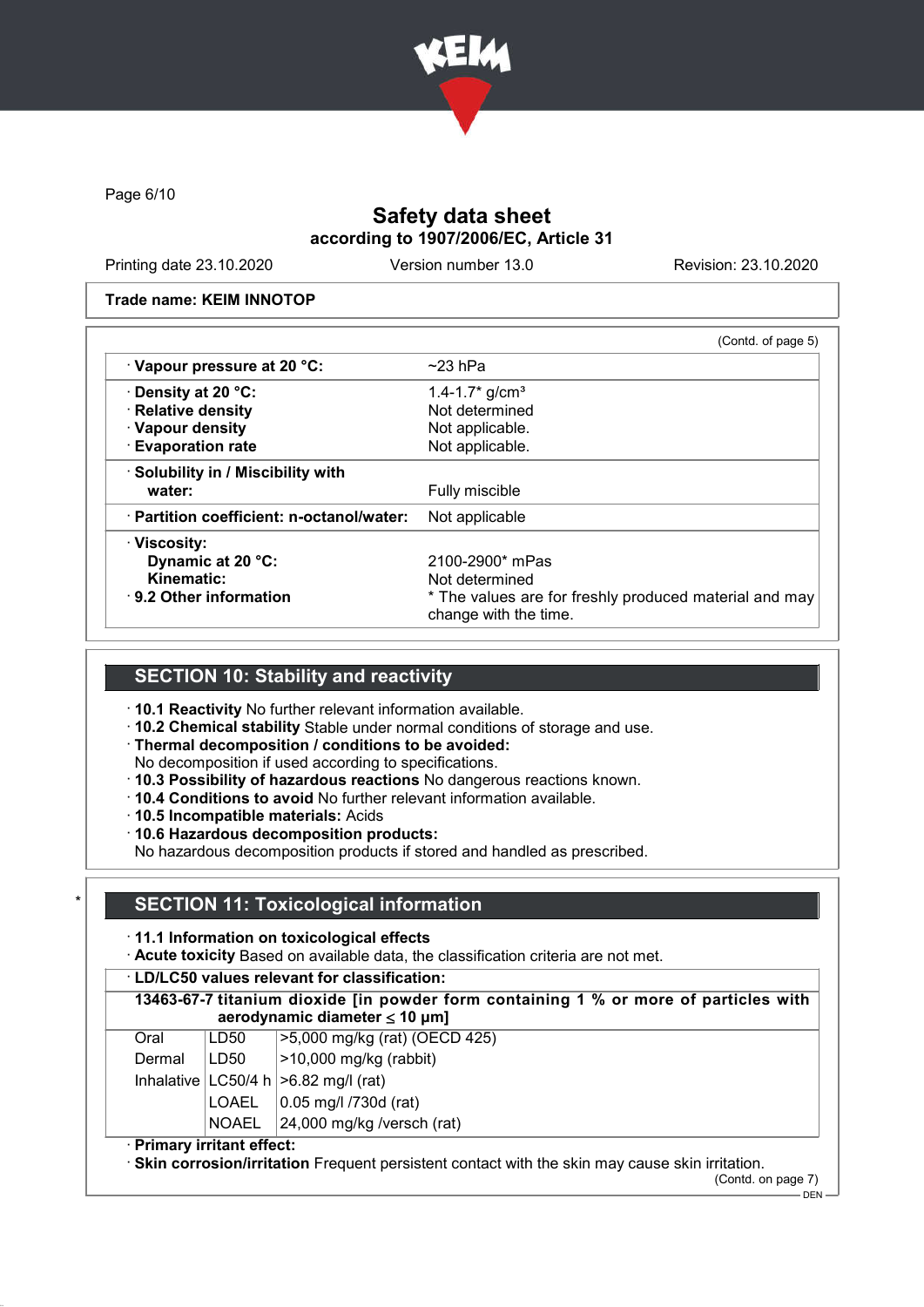

Page 6/10

# Safety data sheet according to 1907/2006/EC, Article 31

Printing date 23.10.2020 Version number 13.0 Revision: 23.10.2020

#### Trade name: KEIM INNOTOP

|                                           | (Contd. of page 5)                                                              |
|-------------------------------------------|---------------------------------------------------------------------------------|
| Vapour pressure at 20 °C:                 | $~23$ hPa                                                                       |
| · Density at 20 °C:                       | 1.4-1.7 $\frac{\text{m}}{\text{s}}$ g/cm <sup>3</sup>                           |
| · Relative density                        | Not determined                                                                  |
| · Vapour density                          | Not applicable.                                                                 |
| <b>Evaporation rate</b>                   | Not applicable.                                                                 |
| · Solubility in / Miscibility with        |                                                                                 |
| water:                                    | Fully miscible                                                                  |
| · Partition coefficient: n-octanol/water: | Not applicable                                                                  |
| · Viscosity:                              |                                                                                 |
| Dynamic at 20 °C:                         | 2100-2900* mPas                                                                 |
| Kinematic:                                | Not determined                                                                  |
| $\cdot$ 9.2 Other information             | * The values are for freshly produced material and may<br>change with the time. |

## SECTION 10: Stability and reactivity

· 10.1 Reactivity No further relevant information available.

- · 10.2 Chemical stability Stable under normal conditions of storage and use.
- · Thermal decomposition / conditions to be avoided:
- No decomposition if used according to specifications.
- · 10.3 Possibility of hazardous reactions No dangerous reactions known.
- · 10.4 Conditions to avoid No further relevant information available.
- · 10.5 Incompatible materials: Acids
- · 10.6 Hazardous decomposition products:

No hazardous decomposition products if stored and handled as prescribed.

## **SECTION 11: Toxicological information**

· 11.1 Information on toxicological effects

· Acute toxicity Based on available data, the classification criteria are not met.

### · LD/LC50 values relevant for classification:

| 13463-67-7 titanium dioxide [in powder form containing 1 % or more of particles with<br>aerodynamic diameter $\leq 10 \mu m$ ] |      |                                           |  |  |
|--------------------------------------------------------------------------------------------------------------------------------|------|-------------------------------------------|--|--|
| Oral                                                                                                                           | LD50 | >5,000 mg/kg (rat) (OECD 425)             |  |  |
| Dermal                                                                                                                         | LD50 | $ >$ 10,000 mg/kg (rabbit)                |  |  |
|                                                                                                                                |      | Inhalative $ LC50/4 h  > 6.82$ mg/l (rat) |  |  |

LOAEL  $\vert$  0.05 mg/l /730d (rat)

NOAEL 24,000 mg/kg /versch (rat)

### · Primary irritant effect:

· Skin corrosion/irritation Frequent persistent contact with the skin may cause skin irritation.

(Contd. on page 7)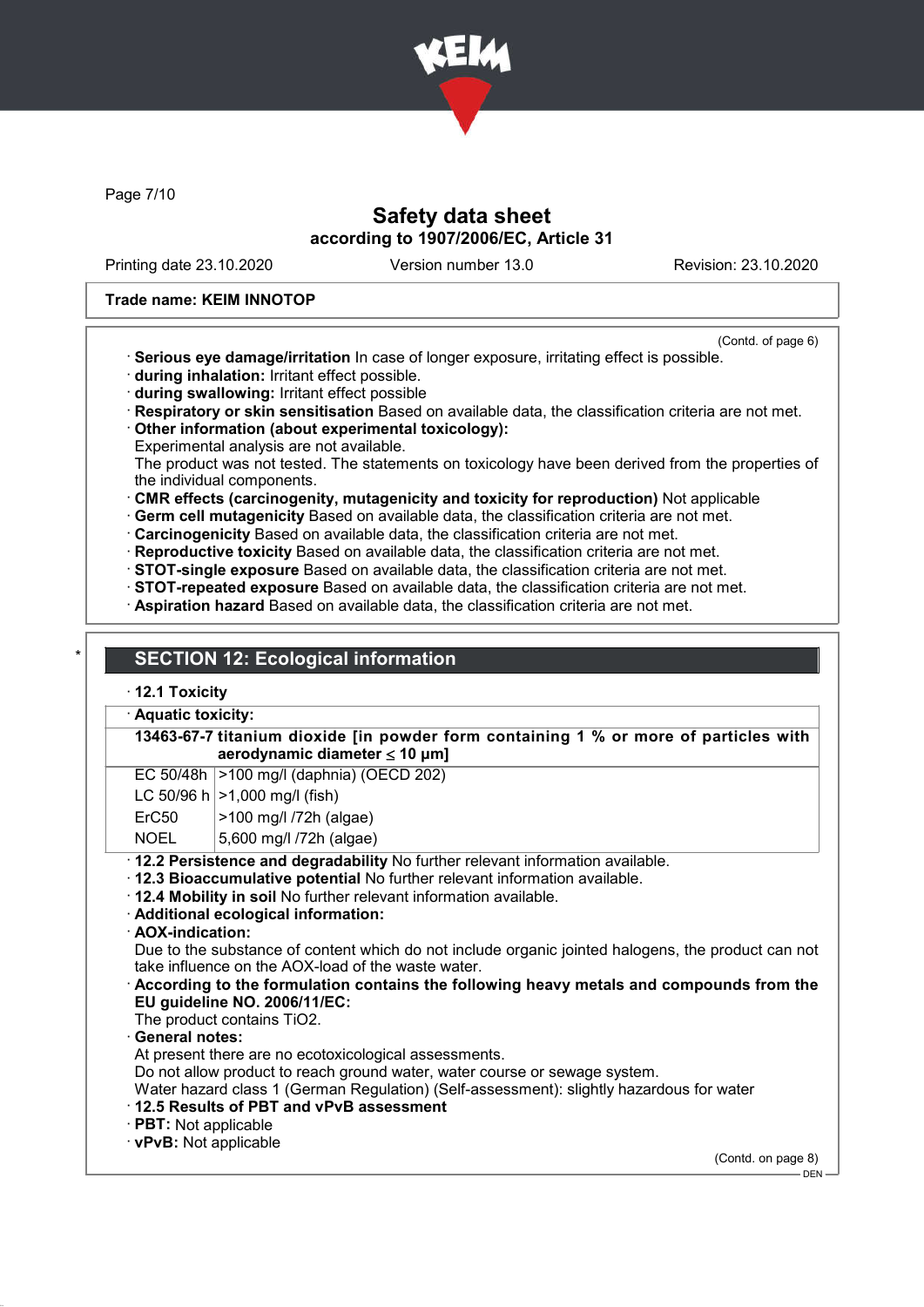

Page 7/10

## Safety data sheet according to 1907/2006/EC, Article 31

Printing date 23.10.2020 Version number 13.0 Revision: 23.10.2020

#### Trade name: KEIM INNOTOP

- (Contd. of page 6)
- · Serious eye damage/irritation In case of longer exposure, irritating effect is possible.
- · during inhalation: Irritant effect possible.
- · during swallowing: Irritant effect possible
- · Respiratory or skin sensitisation Based on available data, the classification criteria are not met.
- · Other information (about experimental toxicology):
- Experimental analysis are not available.

The product was not tested. The statements on toxicology have been derived from the properties of the individual components.

- · CMR effects (carcinogenity, mutagenicity and toxicity for reproduction) Not applicable
- · Germ cell mutagenicity Based on available data, the classification criteria are not met.
- · Carcinogenicity Based on available data, the classification criteria are not met.
- · Reproductive toxicity Based on available data, the classification criteria are not met.
- · STOT-single exposure Based on available data, the classification criteria are not met.
- · STOT-repeated exposure Based on available data, the classification criteria are not met.
- · Aspiration hazard Based on available data, the classification criteria are not met.

## **SECTION 12: Ecological information**

### · 12.1 Toxicity

#### Aquatic toxicity:

13463-67-7 titanium dioxide [in powder form containing 1 % or more of particles with aerodynamic diameter ≤ 10 μm]

EC 50/48h >100 mg/l (daphnia) (OECD 202)

- LC 50/96 h  $|>1,000$  mg/l (fish)
- ErC50 >100 mg/l /72h (algae)
- NOEL 5,600 mg/l /72h (algae)
- · 12.2 Persistence and degradability No further relevant information available.
- · 12.3 Bioaccumulative potential No further relevant information available.
- · 12.4 Mobility in soil No further relevant information available.
- · Additional ecological information:
- · AOX-indication:

Due to the substance of content which do not include organic jointed halogens, the product can not take influence on the AOX-load of the waste water.

### · According to the formulation contains the following heavy metals and compounds from the EU guideline NO. 2006/11/EC:

The product contains TiO2.

General notes:

At present there are no ecotoxicological assessments.

Do not allow product to reach ground water, water course or sewage system.

Water hazard class 1 (German Regulation) (Self-assessment): slightly hazardous for water

- · 12.5 Results of PBT and vPvB assessment
- · PBT: Not applicable

· vPvB: Not applicable

(Contd. on page 8)

 $-$  DEN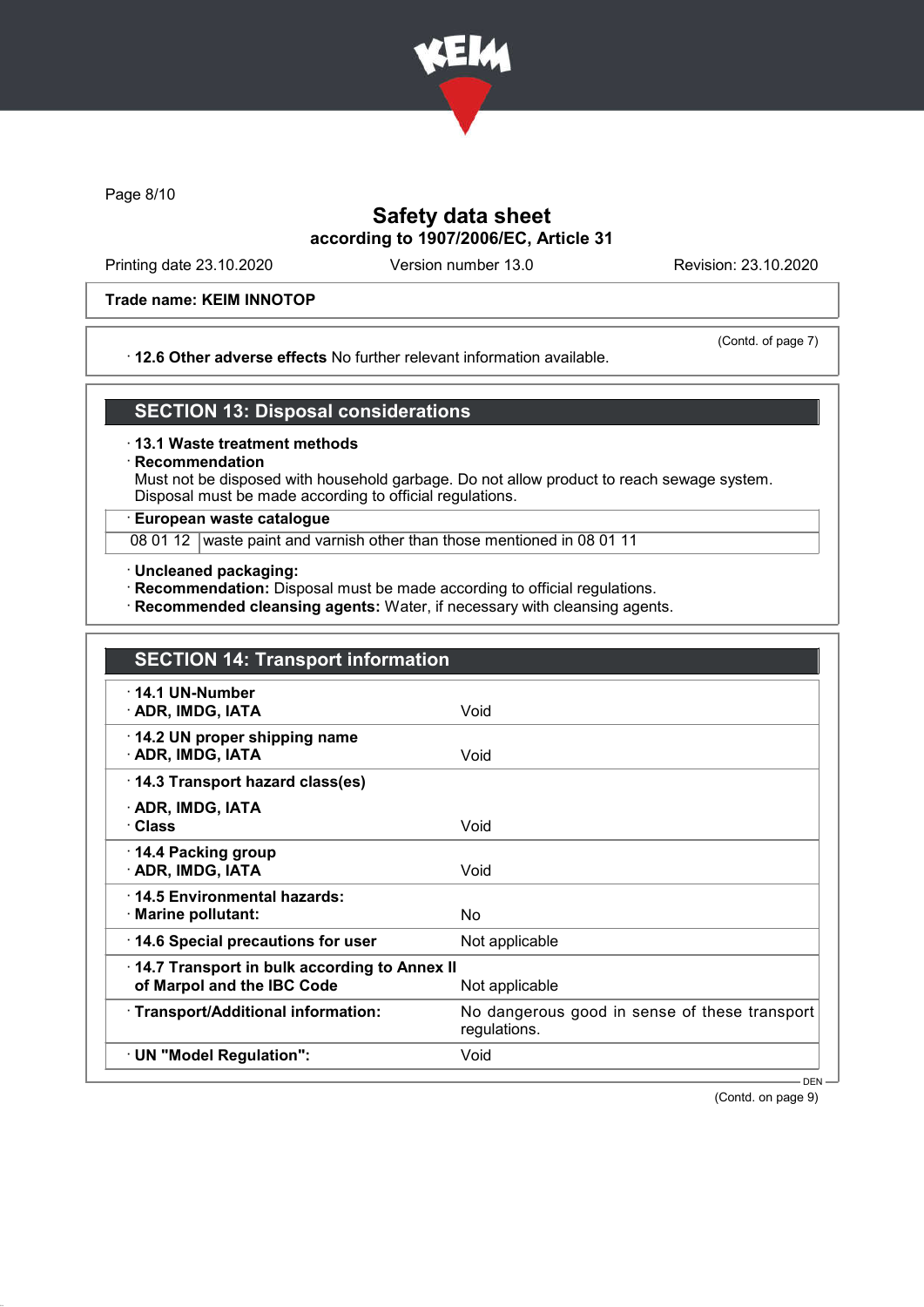

Page 8/10

# Safety data sheet according to 1907/2006/EC, Article 31

Printing date 23.10.2020 Version number 13.0 Revision: 23.10.2020

### Trade name: KEIM INNOTOP

### · 12.6 Other adverse effects No further relevant information available.

(Contd. of page 7)

## SECTION 13: Disposal considerations

#### · 13.1 Waste treatment methods

### **Recommendation**

Must not be disposed with household garbage. Do not allow product to reach sewage system. Disposal must be made according to official regulations.

## · European waste catalogue

08 01 12 waste paint and varnish other than those mentioned in 08 01 11

- · Uncleaned packaging:
- · Recommendation: Disposal must be made according to official regulations.
- · Recommended cleansing agents: Water, if necessary with cleansing agents.

| <b>SECTION 14: Transport information</b>                                   |                                                               |
|----------------------------------------------------------------------------|---------------------------------------------------------------|
| $\cdot$ 14.1 UN-Number<br>· ADR, IMDG, IATA                                | Void                                                          |
| 14.2 UN proper shipping name<br>· ADR, IMDG, IATA                          | Void                                                          |
| 14.3 Transport hazard class(es)                                            |                                                               |
| · ADR, IMDG, IATA<br>· Class                                               | Void                                                          |
| ⋅ 14.4 Packing group<br>· ADR, IMDG, IATA                                  | Void                                                          |
| 14.5 Environmental hazards:<br>$\cdot$ Marine pollutant:                   | No                                                            |
| 14.6 Special precautions for user                                          | Not applicable                                                |
| 14.7 Transport in bulk according to Annex II<br>of Marpol and the IBC Code | Not applicable                                                |
| · Transport/Additional information:                                        | No dangerous good in sense of these transport<br>regulations. |
| · UN "Model Regulation":                                                   | Void                                                          |

(Contd. on page 9)

DEN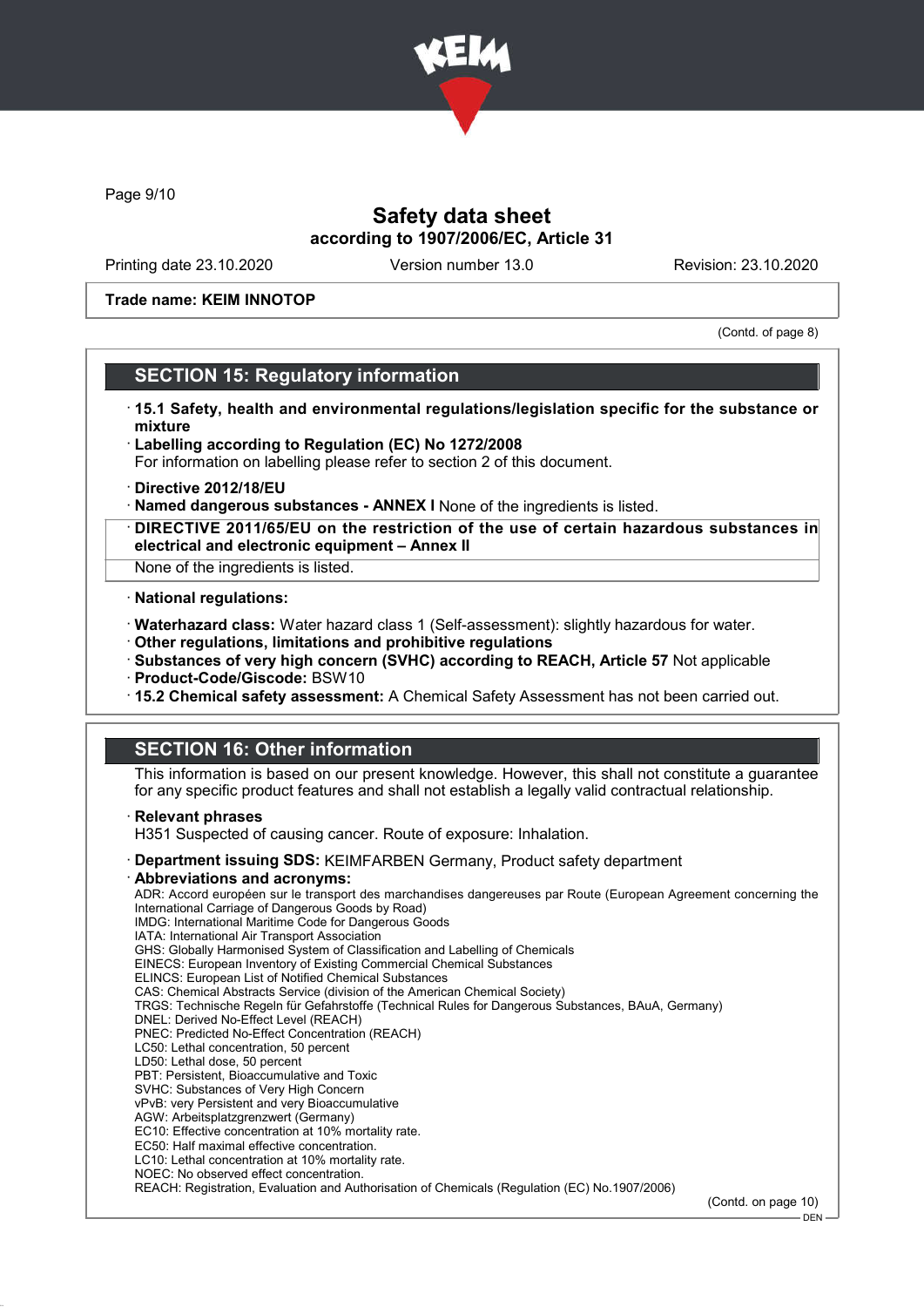

Page 9/10

## Safety data sheet according to 1907/2006/EC, Article 31

Printing date 23.10.2020 Version number 13.0 Revision: 23.10.2020

#### Trade name: KEIM INNOTOP

(Contd. of page 8)

## SECTION 15: Regulatory information

- · 15.1 Safety, health and environmental regulations/legislation specific for the substance or mixture
- · Labelling according to Regulation (EC) No 1272/2008 For information on labelling please refer to section 2 of this document.
- · Directive 2012/18/EU
- · Named dangerous substances ANNEX I None of the ingredients is listed.
- · DIRECTIVE 2011/65/EU on the restriction of the use of certain hazardous substances in electrical and electronic equipment – Annex II
- None of the ingredients is listed.

#### · National regulations:

- · Waterhazard class: Water hazard class 1 (Self-assessment): slightly hazardous for water.
- · Other regulations, limitations and prohibitive regulations
- · Substances of very high concern (SVHC) according to REACH, Article 57 Not applicable
- · Product-Code/Giscode: BSW10
- · 15.2 Chemical safety assessment: A Chemical Safety Assessment has not been carried out.

# SECTION 16: Other information

This information is based on our present knowledge. However, this shall not constitute a guarantee for any specific product features and shall not establish a legally valid contractual relationship.

#### **Relevant phrases**

H351 Suspected of causing cancer. Route of exposure: Inhalation.

- · Department issuing SDS: KEIMFARBEN Germany, Product safety department
- Abbreviations and acronyms:

ADR: Accord européen sur le transport des marchandises dangereuses par Route (European Agreement concerning the International Carriage of Dangerous Goods by Road) IMDG: International Maritime Code for Dangerous Goods IATA: International Air Transport Association GHS: Globally Harmonised System of Classification and Labelling of Chemicals EINECS: European Inventory of Existing Commercial Chemical Substances ELINCS: European List of Notified Chemical Substances CAS: Chemical Abstracts Service (division of the American Chemical Society) TRGS: Technische Regeln für Gefahrstoffe (Technical Rules for Dangerous Substances, BAuA, Germany) DNEL: Derived No-Effect Level (REACH) PNEC: Predicted No-Effect Concentration (REACH) LC50: Lethal concentration, 50 percent LD50: Lethal dose, 50 percent PBT: Persistent, Bioaccumulative and Toxic SVHC: Substances of Very High Concern vPvB: very Persistent and very Bioaccumulative AGW: Arbeitsplatzgrenzwert (Germany) EC10: Effective concentration at 10% mortality rate. EC50: Half maximal effective concentration. LC10: Lethal concentration at 10% mortality rate. NOEC: No observed effect concentration. REACH: Registration, Evaluation and Authorisation of Chemicals (Regulation (EC) No.1907/2006)

(Contd. on page 10)